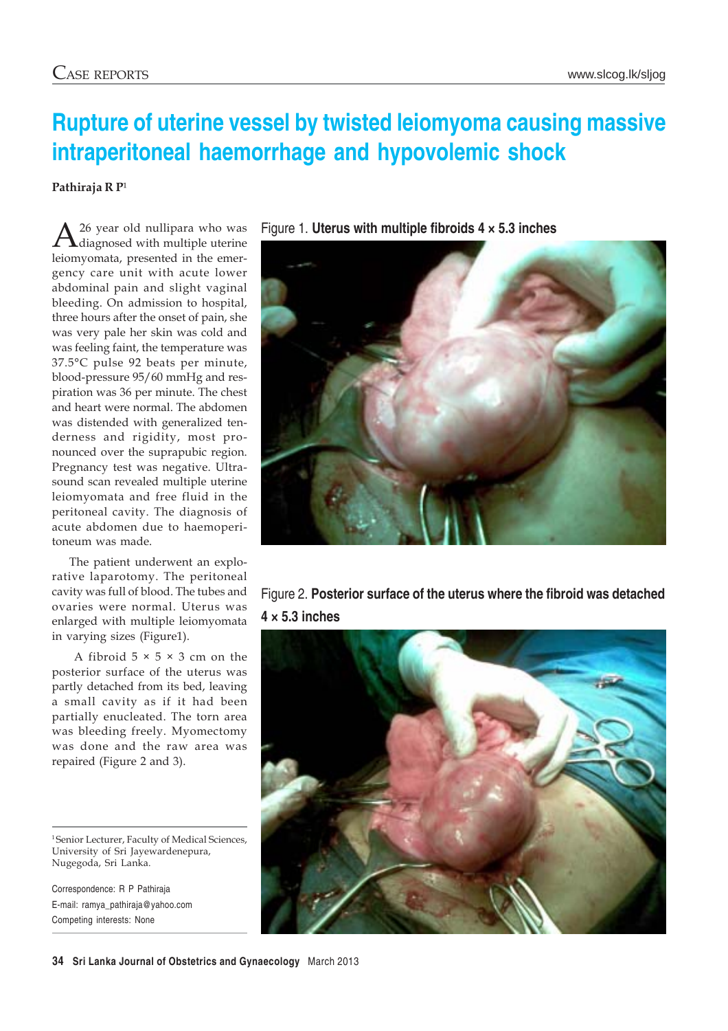## **Rupture of uterine vessel by twisted leiomyoma causing massive intraperitoneal haemorrhage and hypovolemic shock**

Pathiraja R P<sup>1</sup>

 $A<sup>26</sup>$  year old nullipara who was leiomyomata, presented in the emergency care unit with acute lower abdominal pain and slight vaginal bleeding. On admission to hospital, three hours after the onset of pain, she was very pale her skin was cold and was feeling faint, the temperature was 37.5°C pulse 92 beats per minute, blood-pressure 95/60 mmHg and respiration was 36 per minute. The chest and heart were normal. The abdomen was distended with generalized tenderness and rigidity, most pronounced over the suprapubic region. Pregnancy test was negative. Ultrasound scan revealed multiple uterine leiomyomata and free fluid in the peritoneal cavity. The diagnosis of acute abdomen due to haemoperitoneum was made.

The patient underwent an explorative laparotomy. The peritoneal cavity was full of blood. The tubes and ovaries were normal. Uterus was enlarged with multiple leiomyomata in varying sizes (Figure1).

A fibroid  $5 \times 5 \times 3$  cm on the posterior surface of the uterus was partly detached from its bed, leaving a small cavity as if it had been partially enucleated. The torn area was bleeding freely. Myomectomy was done and the raw area was repaired (Figure 2 and 3).

<sup>1</sup> Senior Lecturer, Faculty of Medical Sciences, University of Sri Jayewardenepura, Nugegoda, Sri Lanka.

Correspondence: R P Pathiraja E-mail: ramya\_pathiraja@yahoo.com Competing interests: None



Figure 1. **Uterus with multiple fibroids 4 × 5.3 inches**



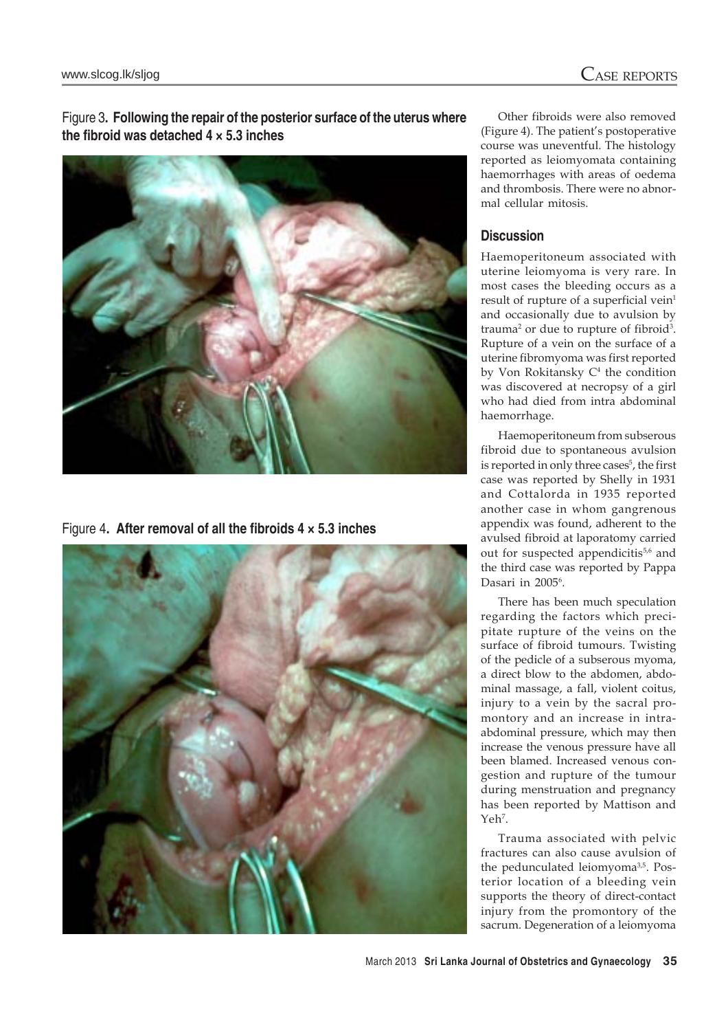Figure 3**. Following the repair of the posterior surface of the uterus where the fibroid was detached 4 × 5.3 inches**



Figure 4**. After removal of all the fibroids 4 × 5.3 inches**



Other fibroids were also removed (Figure 4). The patient's postoperative course was uneventful. The histology reported as leiomyomata containing haemorrhages with areas of oedema and thrombosis. There were no abnormal cellular mitosis.

## **Discussion**

Haemoperitoneum associated with uterine leiomyoma is very rare. In most cases the bleeding occurs as a result of rupture of a superficial vein<sup>1</sup> and occasionally due to avulsion by trauma<sup>2</sup> or due to rupture of fibroid<sup>3</sup>. Rupture of a vein on the surface of a uterine fibromyoma was first reported by Von Rokitansky C<sup>4</sup> the condition was discovered at necropsy of a girl who had died from intra abdominal haemorrhage.

Haemoperitoneum from subserous fibroid due to spontaneous avulsion is reported in only three cases<sup>5</sup>, the first case was reported by Shelly in 1931 and Cottalorda in 1935 reported another case in whom gangrenous appendix was found, adherent to the avulsed fibroid at laporatomy carried out for suspected appendicitis<sup>5,6</sup> and the third case was reported by Pappa Dasari in 2005<sup>6</sup>.

There has been much speculation regarding the factors which precipitate rupture of the veins on the surface of fibroid tumours. Twisting of the pedicle of a subserous myoma, a direct blow to the abdomen, abdominal massage, a fall, violent coitus, injury to a vein by the sacral promontory and an increase in intraabdominal pressure, which may then increase the venous pressure have all been blamed. Increased venous congestion and rupture of the tumour during menstruation and pregnancy has been reported by Mattison and Yeh7 .

Trauma associated with pelvic fractures can also cause avulsion of the pedunculated leiomyoma<sup>3,5</sup>. Posterior location of a bleeding vein supports the theory of direct-contact injury from the promontory of the sacrum. Degeneration of a leiomyoma